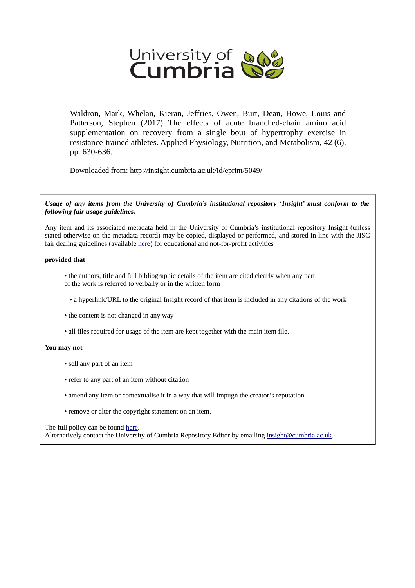

Waldron, Mark, Whelan, Kieran, Jeffries, Owen, Burt, Dean, Howe, Louis and Patterson, Stephen (2017) The effects of acute branched-chain amino acid supplementation on recovery from a single bout of hypertrophy exercise in resistance-trained athletes. Applied Physiology, Nutrition, and Metabolism, 42 (6). pp. 630-636.

Downloaded from: http://insight.cumbria.ac.uk/id/eprint/5049/

*Usage of any items from the University of Cumbria's institutional repository 'Insight' must conform to the following fair usage guidelines.*

Any item and its associated metadata held in the University of Cumbria's institutional repository Insight (unless stated otherwise on the metadata record) may be copied, displayed or performed, and stored in line with the JISC fair dealing guidelines (available [here\)](http://www.ukoln.ac.uk/services/elib/papers/pa/fair/) for educational and not-for-profit activities

# **provided that**

- the authors, title and full bibliographic details of the item are cited clearly when any part of the work is referred to verbally or in the written form
	- a hyperlink/URL to the original Insight record of that item is included in any citations of the work
- the content is not changed in any way
- all files required for usage of the item are kept together with the main item file.

## **You may not**

- sell any part of an item
- refer to any part of an item without citation
- amend any item or contextualise it in a way that will impugn the creator's reputation
- remove or alter the copyright statement on an item.

The full policy can be found [here.](http://insight.cumbria.ac.uk/legal.html#section5)

Alternatively contact the University of Cumbria Repository Editor by emailing [insight@cumbria.ac.uk.](mailto:insight@cumbria.ac.uk)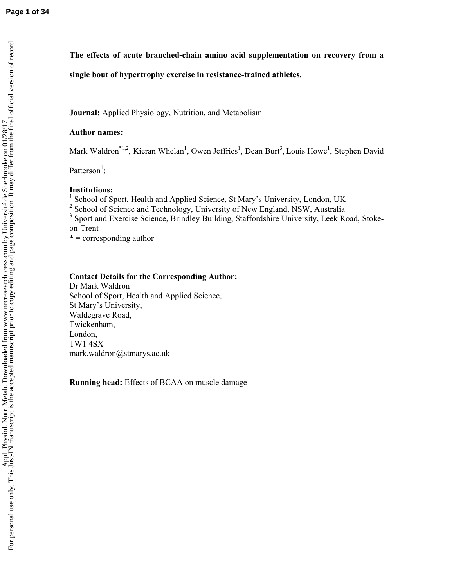**The effects of acute branched-chain amino acid supplementation on recovery from a** 

# **single bout of hypertrophy exercise in resistance-trained athletes.**

**Journal:** Applied Physiology, Nutrition, and Metabolism

### **Author names:**

Mark Waldron<sup>\*1,2</sup>, Kieran Whelan<sup>1</sup>, Owen Jeffries<sup>1</sup>, Dean Burt<sup>3</sup>, Louis Howe<sup>1</sup>, Stephen David

Patterson<sup>1</sup>;

## **Institutions:**

<sup>1</sup> School of Sport, Health and Applied Science, St Mary's University, London, UK

- <sup>2</sup> School of Science and Technology, University of New England, NSW, Australia
- <sup>3</sup> Sport and Exercise Science, Brindley Building, Staffordshire University, Leek Road, Stokeon-Trent

 $* =$  corresponding author

### **Contact Details for the Corresponding Author:**

Dr Mark Waldron School of Sport, Health and Applied Science, St Mary's University, Waldegrave Road, Twickenham, London, TW1 4SX mark.waldron@stmarys.ac.uk

**Running head:** Effects of BCAA on muscle damage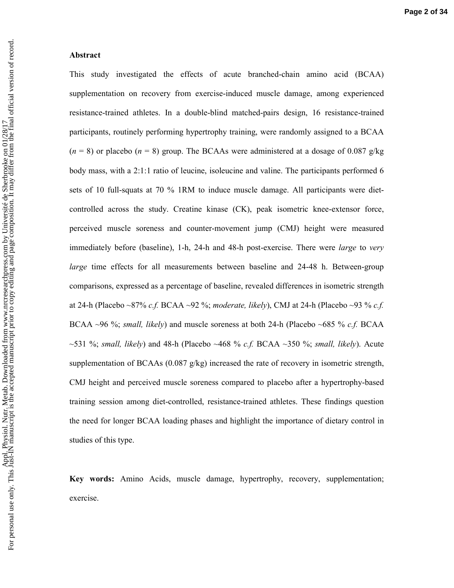#### **Abstract**

This study investigated the effects of acute branched-chain amino acid (BCAA) supplementation on recovery from exercise-induced muscle damage, among experienced resistance-trained athletes. In a double-blind matched-pairs design, 16 resistance-trained participants, routinely performing hypertrophy training, were randomly assigned to a BCAA  $(n = 8)$  or placebo  $(n = 8)$  group. The BCAAs were administered at a dosage of 0.087 g/kg body mass, with a 2:1:1 ratio of leucine, isoleucine and valine. The participants performed 6 sets of 10 full-squats at 70 % 1RM to induce muscle damage. All participants were dietcontrolled across the study. Creatine kinase (CK), peak isometric knee-extensor force, perceived muscle soreness and counter-movement jump (CMJ) height were measured immediately before (baseline), 1-h, 24-h and 48-h post-exercise. There were *large* to *very large* time effects for all measurements between baseline and 24-48 h. Between-group comparisons, expressed as a percentage of baseline, revealed differences in isometric strength at 24-h (Placebo ~87% *c.f.* BCAA ~92 %; *moderate, likely*), CMJ at 24-h (Placebo ~93 % *c.f.* BCAA ~96 %; *small, likely*) and muscle soreness at both 24-h (Placebo ~685 % *c.f.* BCAA ~531 %; *small, likely*) and 48-h (Placebo ~468 % *c.f.* BCAA ~350 %; *small, likely*). Acute supplementation of BCAAs (0.087 g/kg) increased the rate of recovery in isometric strength, CMJ height and perceived muscle soreness compared to placebo after a hypertrophy-based training session among diet-controlled, resistance-trained athletes. These findings question the need for longer BCAA loading phases and highlight the importance of dietary control in studies of this type.

**Key words:** Amino Acids, muscle damage, hypertrophy, recovery, supplementation; exercise.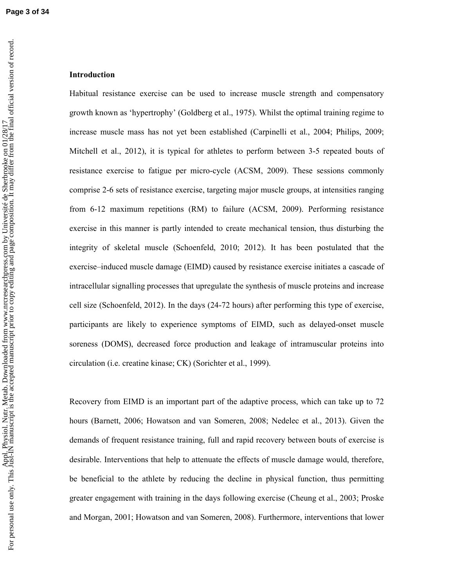### **Introduction**

Habitual resistance exercise can be used to increase muscle strength and compensatory growth known as 'hypertrophy' (Goldberg et al., 1975). Whilst the optimal training regime to increase muscle mass has not yet been established (Carpinelli et al., 2004; Philips, 2009; Mitchell et al., 2012), it is typical for athletes to perform between 3-5 repeated bouts of resistance exercise to fatigue per micro-cycle (ACSM, 2009). These sessions commonly comprise 2-6 sets of resistance exercise, targeting major muscle groups, at intensities ranging from 6-12 maximum repetitions (RM) to failure (ACSM, 2009). Performing resistance exercise in this manner is partly intended to create mechanical tension, thus disturbing the integrity of skeletal muscle (Schoenfeld, 2010; 2012). It has been postulated that the exercise–induced muscle damage (EIMD) caused by resistance exercise initiates a cascade of intracellular signalling processes that upregulate the synthesis of muscle proteins and increase cell size (Schoenfeld, 2012). In the days (24-72 hours) after performing this type of exercise, participants are likely to experience symptoms of EIMD, such as delayed-onset muscle soreness (DOMS), decreased force production and leakage of intramuscular proteins into circulation (i.e. creatine kinase; CK) (Sorichter et al., 1999).

Recovery from EIMD is an important part of the adaptive process, which can take up to 72 hours (Barnett, 2006; Howatson and van Someren, 2008; Nedelec et al., 2013). Given the demands of frequent resistance training, full and rapid recovery between bouts of exercise is desirable. Interventions that help to attenuate the effects of muscle damage would, therefore, be beneficial to the athlete by reducing the decline in physical function, thus permitting greater engagement with training in the days following exercise (Cheung et al., 2003; Proske and Morgan, 2001; Howatson and van Someren, 2008). Furthermore, interventions that lower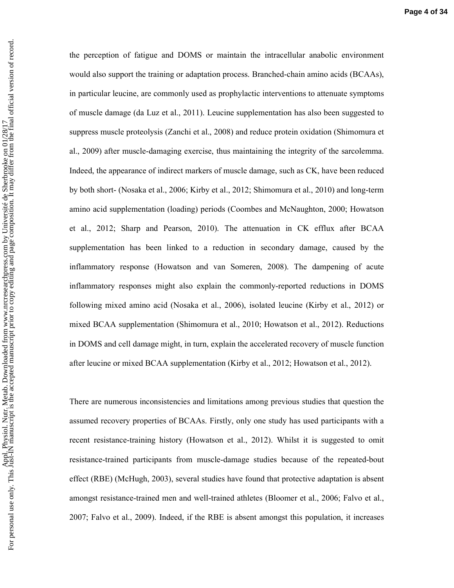the perception of fatigue and DOMS or maintain the intracellular anabolic environment would also support the training or adaptation process. Branched-chain amino acids (BCAAs), in particular leucine, are commonly used as prophylactic interventions to attenuate symptoms of muscle damage (da Luz et al., 2011). Leucine supplementation has also been suggested to suppress muscle proteolysis (Zanchi et al., 2008) and reduce protein oxidation (Shimomura et al., 2009) after muscle-damaging exercise, thus maintaining the integrity of the sarcolemma. Indeed, the appearance of indirect markers of muscle damage, such as CK, have been reduced by both short- (Nosaka et al., 2006; Kirby et al., 2012; Shimomura et al., 2010) and long-term amino acid supplementation (loading) periods (Coombes and McNaughton, 2000; Howatson et al., 2012; Sharp and Pearson, 2010). The attenuation in CK efflux after BCAA supplementation has been linked to a reduction in secondary damage, caused by the inflammatory response (Howatson and van Someren, 2008). The dampening of acute inflammatory responses might also explain the commonly-reported reductions in DOMS following mixed amino acid (Nosaka et al., 2006), isolated leucine (Kirby et al., 2012) or mixed BCAA supplementation (Shimomura et al., 2010; Howatson et al., 2012). Reductions in DOMS and cell damage might, in turn, explain the accelerated recovery of muscle function after leucine or mixed BCAA supplementation (Kirby et al., 2012; Howatson et al., 2012).

There are numerous inconsistencies and limitations among previous studies that question the assumed recovery properties of BCAAs. Firstly, only one study has used participants with a recent resistance-training history (Howatson et al., 2012). Whilst it is suggested to omit resistance-trained participants from muscle-damage studies because of the repeated-bout effect (RBE) (McHugh, 2003), several studies have found that protective adaptation is absent amongst resistance-trained men and well-trained athletes (Bloomer et al., 2006; Falvo et al., 2007; Falvo et al., 2009). Indeed, if the RBE is absent amongst this population, it increases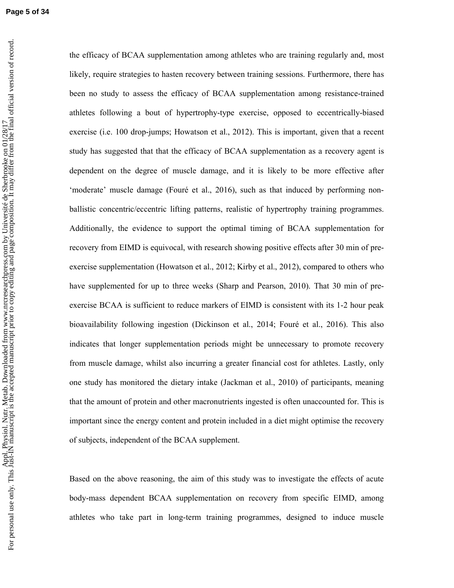**Page 5 of 34**

the efficacy of BCAA supplementation among athletes who are training regularly and, most likely, require strategies to hasten recovery between training sessions. Furthermore, there has been no study to assess the efficacy of BCAA supplementation among resistance-trained athletes following a bout of hypertrophy-type exercise, opposed to eccentrically-biased exercise (i.e. 100 drop-jumps; Howatson et al., 2012). This is important, given that a recent study has suggested that that the efficacy of BCAA supplementation as a recovery agent is dependent on the degree of muscle damage, and it is likely to be more effective after 'moderate' muscle damage (Fouré et al., 2016), such as that induced by performing nonballistic concentric/eccentric lifting patterns, realistic of hypertrophy training programmes. Additionally, the evidence to support the optimal timing of BCAA supplementation for recovery from EIMD is equivocal, with research showing positive effects after 30 min of preexercise supplementation (Howatson et al., 2012; Kirby et al., 2012), compared to others who have supplemented for up to three weeks (Sharp and Pearson, 2010). That 30 min of preexercise BCAA is sufficient to reduce markers of EIMD is consistent with its 1-2 hour peak bioavailability following ingestion (Dickinson et al., 2014; Fouré et al., 2016). This also indicates that longer supplementation periods might be unnecessary to promote recovery from muscle damage, whilst also incurring a greater financial cost for athletes. Lastly, only one study has monitored the dietary intake (Jackman et al., 2010) of participants, meaning that the amount of protein and other macronutrients ingested is often unaccounted for. This is important since the energy content and protein included in a diet might optimise the recovery of subjects, independent of the BCAA supplement.

Based on the above reasoning, the aim of this study was to investigate the effects of acute body-mass dependent BCAA supplementation on recovery from specific EIMD, among athletes who take part in long-term training programmes, designed to induce muscle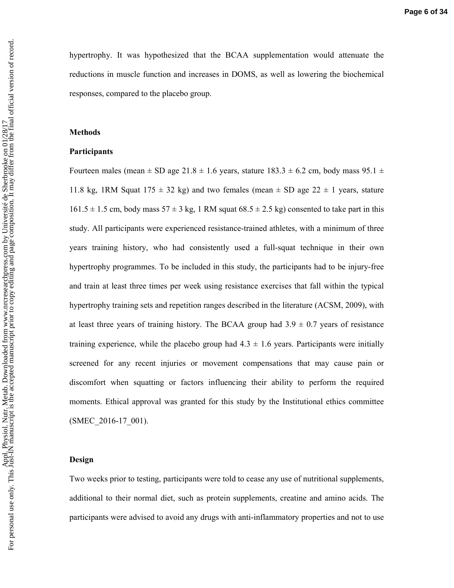hypertrophy. It was hypothesized that the BCAA supplementation would attenuate the reductions in muscle function and increases in DOMS, as well as lowering the biochemical responses, compared to the placebo group.

### **Methods**

### **Participants**

Fourteen males (mean  $\pm$  SD age 21.8  $\pm$  1.6 years, stature 183.3  $\pm$  6.2 cm, body mass 95.1  $\pm$ 11.8 kg, 1RM Squat 175  $\pm$  32 kg) and two females (mean  $\pm$  SD age 22  $\pm$  1 years, stature  $161.5 \pm 1.5$  cm, body mass  $57 \pm 3$  kg, 1 RM squat  $68.5 \pm 2.5$  kg) consented to take part in this study. All participants were experienced resistance-trained athletes, with a minimum of three years training history, who had consistently used a full-squat technique in their own hypertrophy programmes. To be included in this study, the participants had to be injury-free and train at least three times per week using resistance exercises that fall within the typical hypertrophy training sets and repetition ranges described in the literature (ACSM, 2009), with at least three years of training history. The BCAA group had  $3.9 \pm 0.7$  years of resistance training experience, while the placebo group had  $4.3 \pm 1.6$  years. Participants were initially screened for any recent injuries or movement compensations that may cause pain or discomfort when squatting or factors influencing their ability to perform the required moments. Ethical approval was granted for this study by the Institutional ethics committee (SMEC\_2016-17\_001).

#### **Design**

Two weeks prior to testing, participants were told to cease any use of nutritional supplements, additional to their normal diet, such as protein supplements, creatine and amino acids. The participants were advised to avoid any drugs with anti-inflammatory properties and not to use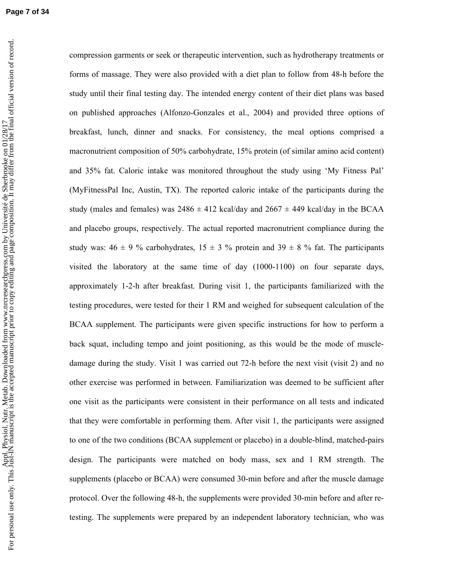**Page 7 of 34**

compression garments or seek or therapeutic intervention, such as hydrotherapy treatments or forms of massage. They were also provided with a diet plan to follow from 48-h before the study until their final testing day. The intended energy content of their diet plans was based on published approaches (Alfonzo-Gonzales et al., 2004) and provided three options of breakfast, lunch, dinner and snacks. For consistency, the meal options comprised a macronutrient composition of 50% carbohydrate, 15% protein (of similar amino acid content) and 35% fat. Caloric intake was monitored throughout the study using 'My Fitness Pal' (MyFitnessPal Inc, Austin, TX). The reported caloric intake of the participants during the study (males and females) was  $2486 \pm 412$  kcal/day and  $2667 \pm 449$  kcal/day in the BCAA and placebo groups, respectively. The actual reported macronutrient compliance during the study was:  $46 \pm 9$  % carbohydrates,  $15 \pm 3$  % protein and  $39 \pm 8$  % fat. The participants visited the laboratory at the same time of day (1000-1100) on four separate days, approximately 1-2-h after breakfast. During visit 1, the participants familiarized with the testing procedures, were tested for their 1 RM and weighed for subsequent calculation of the BCAA supplement. The participants were given specific instructions for how to perform a back squat, including tempo and joint positioning, as this would be the mode of muscledamage during the study. Visit 1 was carried out 72-h before the next visit (visit 2) and no other exercise was performed in between. Familiarization was deemed to be sufficient after one visit as the participants were consistent in their performance on all tests and indicated that they were comfortable in performing them. After visit 1, the participants were assigned to one of the two conditions (BCAA supplement or placebo) in a double-blind, matched-pairs design. The participants were matched on body mass, sex and 1 RM strength. The supplements (placebo or BCAA) were consumed 30-min before and after the muscle damage protocol. Over the following 48-h, the supplements were provided 30-min before and after retesting. The supplements were prepared by an independent laboratory technician, who was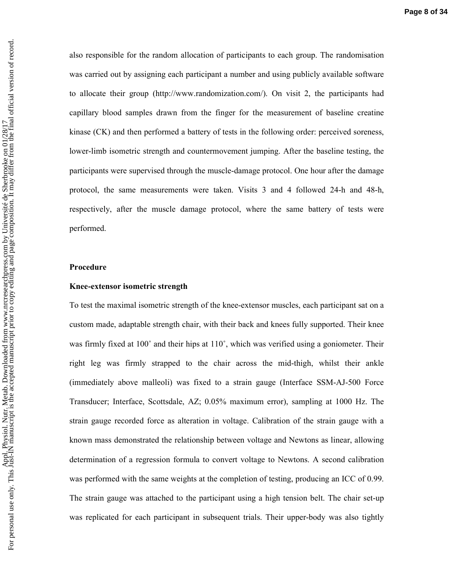also responsible for the random allocation of participants to each group. The randomisation was carried out by assigning each participant a number and using publicly available software to allocate their group (http://www.randomization.com/). On visit 2, the participants had capillary blood samples drawn from the finger for the measurement of baseline creatine kinase (CK) and then performed a battery of tests in the following order: perceived soreness, lower-limb isometric strength and countermovement jumping. After the baseline testing, the participants were supervised through the muscle-damage protocol. One hour after the damage protocol, the same measurements were taken. Visits 3 and 4 followed 24-h and 48-h, respectively, after the muscle damage protocol, where the same battery of tests were performed.

#### **Procedure**

#### **Knee-extensor isometric strength**

To test the maximal isometric strength of the knee-extensor muscles, each participant sat on a custom made, adaptable strength chair, with their back and knees fully supported. Their knee was firmly fixed at 100° and their hips at 110°, which was verified using a goniometer. Their right leg was firmly strapped to the chair across the mid-thigh, whilst their ankle (immediately above malleoli) was fixed to a strain gauge (Interface SSM-AJ-500 Force Transducer; Interface, Scottsdale, AZ; 0.05% maximum error), sampling at 1000 Hz. The strain gauge recorded force as alteration in voltage. Calibration of the strain gauge with a known mass demonstrated the relationship between voltage and Newtons as linear, allowing determination of a regression formula to convert voltage to Newtons. A second calibration was performed with the same weights at the completion of testing, producing an ICC of 0.99. The strain gauge was attached to the participant using a high tension belt. The chair set-up was replicated for each participant in subsequent trials. Their upper-body was also tightly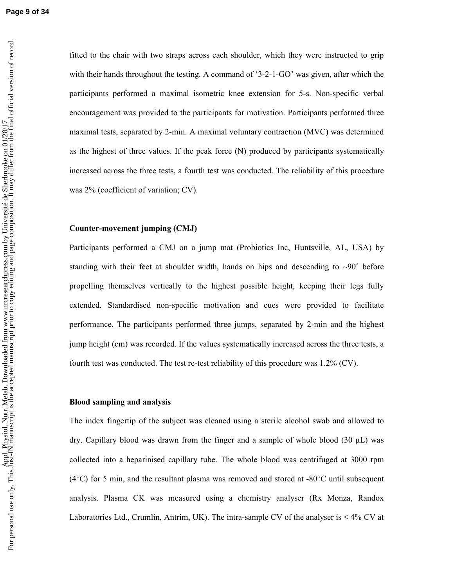fitted to the chair with two straps across each shoulder, which they were instructed to grip with their hands throughout the testing. A command of '3-2-1-GO' was given, after which the participants performed a maximal isometric knee extension for 5-s. Non-specific verbal encouragement was provided to the participants for motivation. Participants performed three maximal tests, separated by 2-min. A maximal voluntary contraction (MVC) was determined as the highest of three values. If the peak force (N) produced by participants systematically increased across the three tests, a fourth test was conducted. The reliability of this procedure was 2% (coefficient of variation; CV).

### **Counter-movement jumping (CMJ)**

Participants performed a CMJ on a jump mat (Probiotics Inc, Huntsville, AL, USA) by standing with their feet at shoulder width, hands on hips and descending to  $\sim 90^\circ$  before propelling themselves vertically to the highest possible height, keeping their legs fully extended. Standardised non-specific motivation and cues were provided to facilitate performance. The participants performed three jumps, separated by 2-min and the highest jump height (cm) was recorded. If the values systematically increased across the three tests, a fourth test was conducted. The test re-test reliability of this procedure was 1.2% (CV).

## **Blood sampling and analysis**

The index fingertip of the subject was cleaned using a sterile alcohol swab and allowed to dry. Capillary blood was drawn from the finger and a sample of whole blood  $(30 \mu L)$  was collected into a heparinised capillary tube. The whole blood was centrifuged at 3000 rpm (4°C) for 5 min, and the resultant plasma was removed and stored at -80°C until subsequent analysis. Plasma CK was measured using a chemistry analyser (Rx Monza, Randox Laboratories Ltd., Crumlin, Antrim, UK). The intra-sample CV of the analyser is < 4% CV at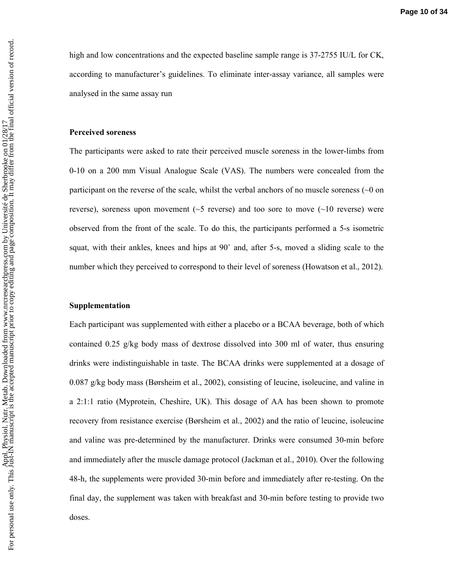high and low concentrations and the expected baseline sample range is 37-2755 IU/L for CK, according to manufacturer's guidelines. To eliminate inter-assay variance, all samples were analysed in the same assay run

#### **Perceived soreness**

The participants were asked to rate their perceived muscle soreness in the lower-limbs from 0-10 on a 200 mm Visual Analogue Scale (VAS). The numbers were concealed from the participant on the reverse of the scale, whilst the verbal anchors of no muscle soreness  $(\sim 0$  on reverse), soreness upon movement ( $\sim$ 5 reverse) and too sore to move ( $\sim$ 10 reverse) were observed from the front of the scale. To do this, the participants performed a 5-s isometric squat, with their ankles, knees and hips at 90˚ and, after 5-s, moved a sliding scale to the number which they perceived to correspond to their level of soreness (Howatson et al., 2012).

### **Supplementation**

Each participant was supplemented with either a placebo or a BCAA beverage, both of which contained 0.25 g/kg body mass of dextrose dissolved into 300 ml of water, thus ensuring drinks were indistinguishable in taste. The BCAA drinks were supplemented at a dosage of 0.087 g/kg body mass (Børsheim et al., 2002), consisting of leucine, isoleucine, and valine in a 2:1:1 ratio (Myprotein, Cheshire, UK). This dosage of AA has been shown to promote recovery from resistance exercise (Børsheim et al., 2002) and the ratio of leucine, isoleucine and valine was pre-determined by the manufacturer. Drinks were consumed 30-min before and immediately after the muscle damage protocol (Jackman et al., 2010). Over the following 48-h, the supplements were provided 30-min before and immediately after re-testing. On the final day, the supplement was taken with breakfast and 30-min before testing to provide two doses.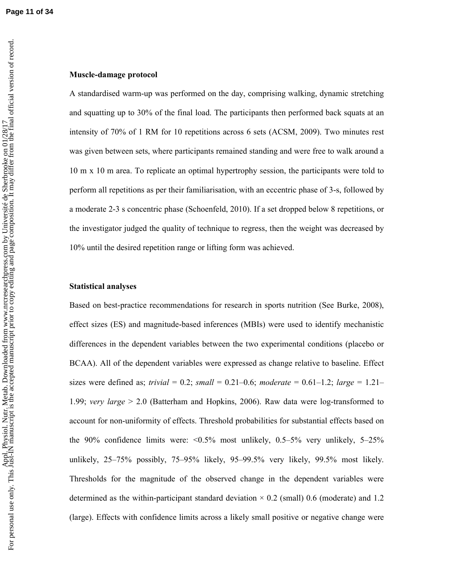**Page 11 of 34**

### **Muscle-damage protocol**

A standardised warm-up was performed on the day, comprising walking, dynamic stretching and squatting up to 30% of the final load. The participants then performed back squats at an intensity of 70% of 1 RM for 10 repetitions across 6 sets (ACSM, 2009). Two minutes rest was given between sets, where participants remained standing and were free to walk around a 10 m x 10 m area. To replicate an optimal hypertrophy session, the participants were told to perform all repetitions as per their familiarisation, with an eccentric phase of 3-s, followed by a moderate 2-3 s concentric phase (Schoenfeld, 2010). If a set dropped below 8 repetitions, or the investigator judged the quality of technique to regress, then the weight was decreased by 10% until the desired repetition range or lifting form was achieved.

### **Statistical analyses**

Based on best-practice recommendations for research in sports nutrition (See Burke, 2008), effect sizes (ES) and magnitude-based inferences (MBIs) were used to identify mechanistic differences in the dependent variables between the two experimental conditions (placebo or BCAA). All of the dependent variables were expressed as change relative to baseline. Effect sizes were defined as; *trivial* = 0.2; *small* = 0.21–0.6; *moderate* = 0.61–1.2; *large* = 1.21– 1.99; *very large* > 2.0 (Batterham and Hopkins, 2006). Raw data were log-transformed to account for non-uniformity of effects. Threshold probabilities for substantial effects based on the 90% confidence limits were:  $\leq 0.5\%$  most unlikely, 0.5–5% very unlikely, 5–25% unlikely, 25–75% possibly, 75–95% likely, 95–99.5% very likely, 99.5% most likely. Thresholds for the magnitude of the observed change in the dependent variables were determined as the within-participant standard deviation  $\times$  0.2 (small) 0.6 (moderate) and 1.2 (large). Effects with confidence limits across a likely small positive or negative change were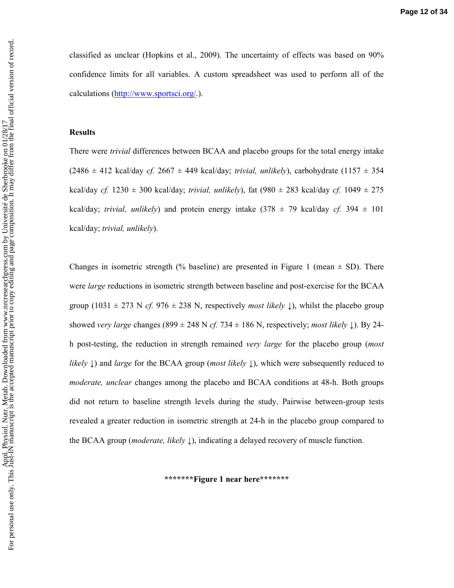classified as unclear (Hopkins et al., 2009). The uncertainty of effects was based on 90% confidence limits for all variables. A custom spreadsheet was used to perform all of the calculations (http://www.sportsci.org/.).

#### **Results**

There were *trivial* differences between BCAA and placebo groups for the total energy intake  $(2486 \pm 412 \text{ kcal/day } cf. 2667 \pm 449 \text{ kcal/day}; trivial, unlikely), carbohydrate (1157 \pm 354$ kcal/day *cf.*  $1230 \pm 300$  kcal/day; *trivial, unlikely*), fat  $(980 \pm 283$  kcal/day *cf.*  $1049 \pm 275$ kcal/day; *trivial, unlikely*) and protein energy intake  $(378 \pm 79 \text{ kcal/day } cf. 394 \pm 101$ kcal/day; *trivial, unlikely*).

Changes in isometric strength (% baseline) are presented in Figure 1 (mean  $\pm$  SD). There were *large* reductions in isometric strength between baseline and post-exercise for the BCAA group (1031  $\pm$  273 N *cf.* 976  $\pm$  238 N, respectively *most likely*  $\downarrow$ ), whilst the placebo group showed *very large* changes (899  $\pm$  248 N *cf.* 734  $\pm$  186 N, respectively; *most likely*  $\downarrow$ ). By 24h post-testing, the reduction in strength remained *very large* for the placebo group (*most likely* ↓) and *large* for the BCAA group (*most likely* ↓), which were subsequently reduced to *moderate, unclear* changes among the placebo and BCAA conditions at 48-h. Both groups did not return to baseline strength levels during the study. Pairwise between-group tests revealed a greater reduction in isometric strength at 24-h in the placebo group compared to the BCAA group (*moderate, likely* ↓), indicating a delayed recovery of muscle function.

**\*\*\*\*\*\*\*Figure 1 near here\*\*\*\*\*\*\***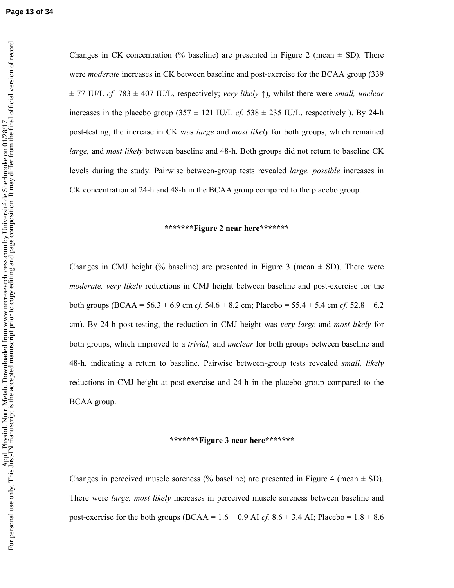Changes in CK concentration (% baseline) are presented in Figure 2 (mean  $\pm$  SD). There were *moderate* increases in CK between baseline and post-exercise for the BCAA group (339 ± 77 IU/L *cf.* 783 ± 407 IU/L, respectively; *very likely* ↑), whilst there were *small, unclear*  increases in the placebo group  $(357 \pm 121 \text{ IU/L } cf. 538 \pm 235 \text{ IU/L}$ , respectively ). By 24-h post-testing, the increase in CK was *large* and *most likely* for both groups, which remained *large,* and *most likely* between baseline and 48-h. Both groups did not return to baseline CK levels during the study. Pairwise between-group tests revealed *large, possible* increases in CK concentration at 24-h and 48-h in the BCAA group compared to the placebo group.

#### **\*\*\*\*\*\*\*Figure 2 near here\*\*\*\*\*\*\***

Changes in CMJ height (% baseline) are presented in Figure 3 (mean  $\pm$  SD). There were *moderate, very likely* reductions in CMJ height between baseline and post-exercise for the both groups (BCAA =  $56.3 \pm 6.9$  cm *cf.*  $54.6 \pm 8.2$  cm; Placebo =  $55.4 \pm 5.4$  cm *cf.*  $52.8 \pm 6.2$ cm). By 24-h post-testing, the reduction in CMJ height was *very large* and *most likely* for both groups, which improved to a *trivial,* and *unclear* for both groups between baseline and 48-h, indicating a return to baseline. Pairwise between-group tests revealed *small, likely* reductions in CMJ height at post-exercise and 24-h in the placebo group compared to the BCAA group.

#### **\*\*\*\*\*\*\*Figure 3 near here\*\*\*\*\*\*\***

Changes in perceived muscle soreness (% baseline) are presented in Figure 4 (mean  $\pm$  SD). There were *large, most likely* increases in perceived muscle soreness between baseline and post-exercise for the both groups (BCAA =  $1.6 \pm 0.9$  AI *cf.*  $8.6 \pm 3.4$  AI; Placebo =  $1.8 \pm 8.6$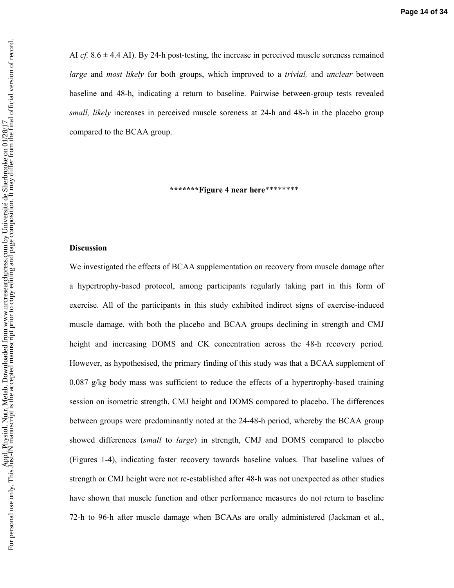AI *cf.*  $8.6 \pm 4.4$  AI). By 24-h post-testing, the increase in perceived muscle soreness remained *large* and *most likely* for both groups, which improved to a *trivial,* and *unclear* between baseline and 48-h, indicating a return to baseline. Pairwise between-group tests revealed *small, likely* increases in perceived muscle soreness at 24-h and 48-h in the placebo group compared to the BCAA group.

**\*\*\*\*\*\*\*Figure 4 near here**\*\*\*\*\*\*\*\*

#### **Discussion**

We investigated the effects of BCAA supplementation on recovery from muscle damage after a hypertrophy-based protocol, among participants regularly taking part in this form of exercise. All of the participants in this study exhibited indirect signs of exercise-induced muscle damage, with both the placebo and BCAA groups declining in strength and CMJ height and increasing DOMS and CK concentration across the 48-h recovery period. However, as hypothesised, the primary finding of this study was that a BCAA supplement of 0.087 g/kg body mass was sufficient to reduce the effects of a hypertrophy-based training session on isometric strength, CMJ height and DOMS compared to placebo. The differences between groups were predominantly noted at the 24-48-h period, whereby the BCAA group showed differences (*small* to *large*) in strength, CMJ and DOMS compared to placebo (Figures 1-4), indicating faster recovery towards baseline values. That baseline values of strength or CMJ height were not re-established after 48-h was not unexpected as other studies have shown that muscle function and other performance measures do not return to baseline 72-h to 96-h after muscle damage when BCAAs are orally administered (Jackman et al.,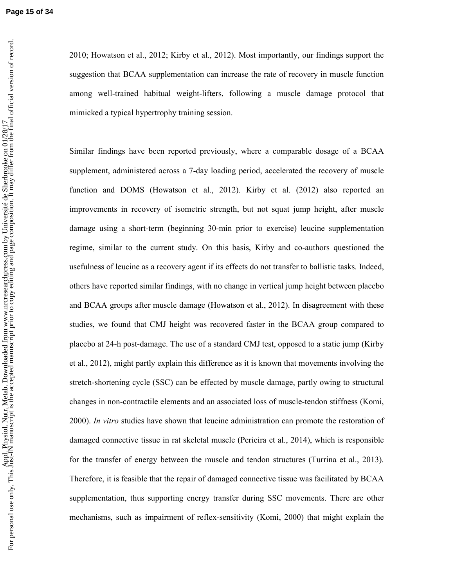2010; Howatson et al., 2012; Kirby et al., 2012). Most importantly, our findings support the suggestion that BCAA supplementation can increase the rate of recovery in muscle function among well-trained habitual weight-lifters, following a muscle damage protocol that mimicked a typical hypertrophy training session.

Similar findings have been reported previously, where a comparable dosage of a BCAA supplement, administered across a 7-day loading period, accelerated the recovery of muscle function and DOMS (Howatson et al., 2012). Kirby et al. (2012) also reported an improvements in recovery of isometric strength, but not squat jump height, after muscle damage using a short-term (beginning 30-min prior to exercise) leucine supplementation regime, similar to the current study. On this basis, Kirby and co-authors questioned the usefulness of leucine as a recovery agent if its effects do not transfer to ballistic tasks. Indeed, others have reported similar findings, with no change in vertical jump height between placebo and BCAA groups after muscle damage (Howatson et al., 2012). In disagreement with these studies, we found that CMJ height was recovered faster in the BCAA group compared to placebo at 24-h post-damage. The use of a standard CMJ test, opposed to a static jump (Kirby et al., 2012), might partly explain this difference as it is known that movements involving the stretch-shortening cycle (SSC) can be effected by muscle damage, partly owing to structural changes in non-contractile elements and an associated loss of muscle-tendon stiffness (Komi, 2000). *In vitro* studies have shown that leucine administration can promote the restoration of damaged connective tissue in rat skeletal muscle (Perieira et al., 2014), which is responsible for the transfer of energy between the muscle and tendon structures (Turrina et al., 2013). Therefore, it is feasible that the repair of damaged connective tissue was facilitated by BCAA supplementation, thus supporting energy transfer during SSC movements. There are other mechanisms, such as impairment of reflex-sensitivity (Komi, 2000) that might explain the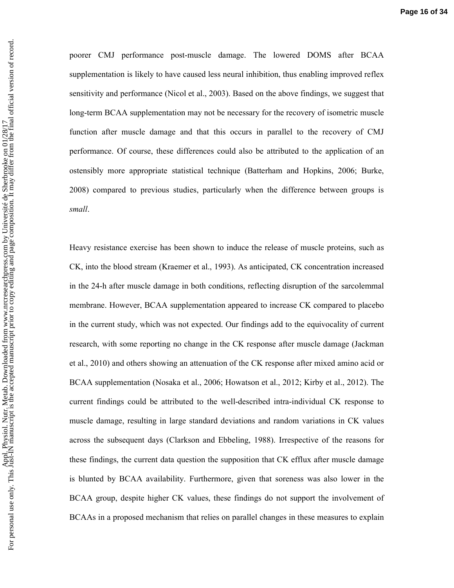poorer CMJ performance post-muscle damage. The lowered DOMS after BCAA supplementation is likely to have caused less neural inhibition, thus enabling improved reflex sensitivity and performance (Nicol et al., 2003). Based on the above findings, we suggest that long-term BCAA supplementation may not be necessary for the recovery of isometric muscle function after muscle damage and that this occurs in parallel to the recovery of CMJ performance. Of course, these differences could also be attributed to the application of an ostensibly more appropriate statistical technique (Batterham and Hopkins, 2006; Burke, 2008) compared to previous studies, particularly when the difference between groups is *small*.

Heavy resistance exercise has been shown to induce the release of muscle proteins, such as CK, into the blood stream (Kraemer et al., 1993). As anticipated, CK concentration increased in the 24-h after muscle damage in both conditions, reflecting disruption of the sarcolemmal membrane. However, BCAA supplementation appeared to increase CK compared to placebo in the current study, which was not expected. Our findings add to the equivocality of current research, with some reporting no change in the CK response after muscle damage (Jackman et al., 2010) and others showing an attenuation of the CK response after mixed amino acid or BCAA supplementation (Nosaka et al., 2006; Howatson et al., 2012; Kirby et al., 2012). The current findings could be attributed to the well-described intra-individual CK response to muscle damage, resulting in large standard deviations and random variations in CK values across the subsequent days (Clarkson and Ebbeling, 1988). Irrespective of the reasons for these findings, the current data question the supposition that CK efflux after muscle damage is blunted by BCAA availability. Furthermore, given that soreness was also lower in the BCAA group, despite higher CK values, these findings do not support the involvement of BCAAs in a proposed mechanism that relies on parallel changes in these measures to explain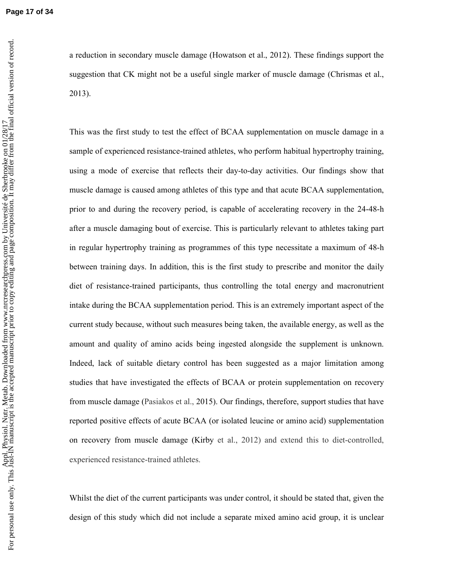**Page 17 of 34**

a reduction in secondary muscle damage (Howatson et al., 2012). These findings support the suggestion that CK might not be a useful single marker of muscle damage (Chrismas et al., 2013).

This was the first study to test the effect of BCAA supplementation on muscle damage in a sample of experienced resistance-trained athletes, who perform habitual hypertrophy training, using a mode of exercise that reflects their day-to-day activities. Our findings show that muscle damage is caused among athletes of this type and that acute BCAA supplementation, prior to and during the recovery period, is capable of accelerating recovery in the 24-48-h after a muscle damaging bout of exercise. This is particularly relevant to athletes taking part in regular hypertrophy training as programmes of this type necessitate a maximum of 48-h between training days. In addition, this is the first study to prescribe and monitor the daily diet of resistance-trained participants, thus controlling the total energy and macronutrient intake during the BCAA supplementation period. This is an extremely important aspect of the current study because, without such measures being taken, the available energy, as well as the amount and quality of amino acids being ingested alongside the supplement is unknown. Indeed, lack of suitable dietary control has been suggested as a major limitation among studies that have investigated the effects of BCAA or protein supplementation on recovery from muscle damage (Pasiakos et al., 2015). Our findings, therefore, support studies that have reported positive effects of acute BCAA (or isolated leucine or amino acid) supplementation on recovery from muscle damage (Kirby et al., 2012) and extend this to diet-controlled, experienced resistance-trained athletes.

Whilst the diet of the current participants was under control, it should be stated that, given the design of this study which did not include a separate mixed amino acid group, it is unclear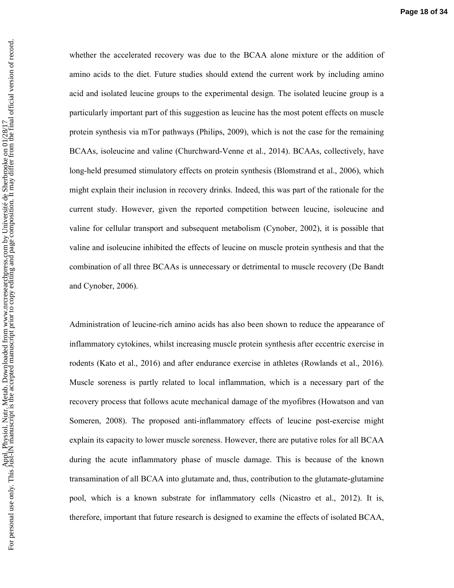whether the accelerated recovery was due to the BCAA alone mixture or the addition of amino acids to the diet. Future studies should extend the current work by including amino acid and isolated leucine groups to the experimental design. The isolated leucine group is a particularly important part of this suggestion as leucine has the most potent effects on muscle protein synthesis via mTor pathways (Philips, 2009), which is not the case for the remaining BCAAs, isoleucine and valine (Churchward-Venne et al., 2014). BCAAs, collectively, have long-held presumed stimulatory effects on protein synthesis (Blomstrand et al., 2006), which might explain their inclusion in recovery drinks. Indeed, this was part of the rationale for the current study. However, given the reported competition between leucine, isoleucine and valine for cellular transport and subsequent metabolism (Cynober, 2002), it is possible that valine and isoleucine inhibited the effects of leucine on muscle protein synthesis and that the combination of all three BCAAs is unnecessary or detrimental to muscle recovery (De Bandt and Cynober, 2006).

Administration of leucine-rich amino acids has also been shown to reduce the appearance of inflammatory cytokines, whilst increasing muscle protein synthesis after eccentric exercise in rodents (Kato et al., 2016) and after endurance exercise in athletes (Rowlands et al., 2016). Muscle soreness is partly related to local inflammation, which is a necessary part of the recovery process that follows acute mechanical damage of the myofibres (Howatson and van Someren, 2008). The proposed anti-inflammatory effects of leucine post-exercise might explain its capacity to lower muscle soreness. However, there are putative roles for all BCAA during the acute inflammatory phase of muscle damage. This is because of the known transamination of all BCAA into glutamate and, thus, contribution to the glutamate-glutamine pool, which is a known substrate for inflammatory cells (Nicastro et al., 2012). It is, therefore, important that future research is designed to examine the effects of isolated BCAA,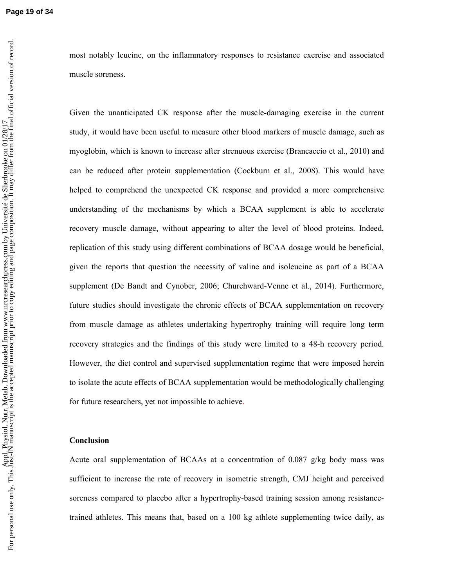Given the unanticipated CK response after the muscle-damaging exercise in the current study, it would have been useful to measure other blood markers of muscle damage, such as myoglobin, which is known to increase after strenuous exercise (Brancaccio et al., 2010) and can be reduced after protein supplementation (Cockburn et al., 2008). This would have helped to comprehend the unexpected CK response and provided a more comprehensive understanding of the mechanisms by which a BCAA supplement is able to accelerate recovery muscle damage, without appearing to alter the level of blood proteins. Indeed, replication of this study using different combinations of BCAA dosage would be beneficial, given the reports that question the necessity of valine and isoleucine as part of a BCAA supplement (De Bandt and Cynober, 2006; Churchward-Venne et al., 2014). Furthermore, future studies should investigate the chronic effects of BCAA supplementation on recovery from muscle damage as athletes undertaking hypertrophy training will require long term recovery strategies and the findings of this study were limited to a 48-h recovery period. However, the diet control and supervised supplementation regime that were imposed herein to isolate the acute effects of BCAA supplementation would be methodologically challenging for future researchers, yet not impossible to achieve.

# **Conclusion**

Acute oral supplementation of BCAAs at a concentration of 0.087 g/kg body mass was sufficient to increase the rate of recovery in isometric strength, CMJ height and perceived soreness compared to placebo after a hypertrophy-based training session among resistancetrained athletes. This means that, based on a 100 kg athlete supplementing twice daily, as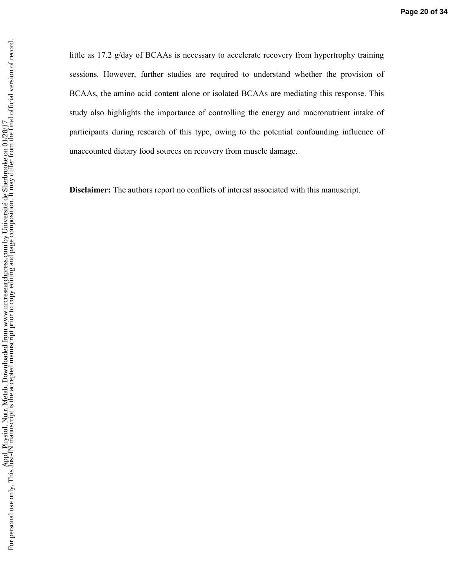little as 17.2 g/day of BCAAs is necessary to accelerate recovery from hypertrophy training sessions. However, further studies are required to understand whether the provision of BCAAs, the amino acid content alone or isolated BCAAs are mediating this response. This study also highlights the importance of controlling the energy and macronutrient intake of participants during research of this type, owing to the potential confounding influence of unaccounted dietary food sources on recovery from muscle damage.

**Disclaimer:** The authors report no conflicts of interest associated with this manuscript.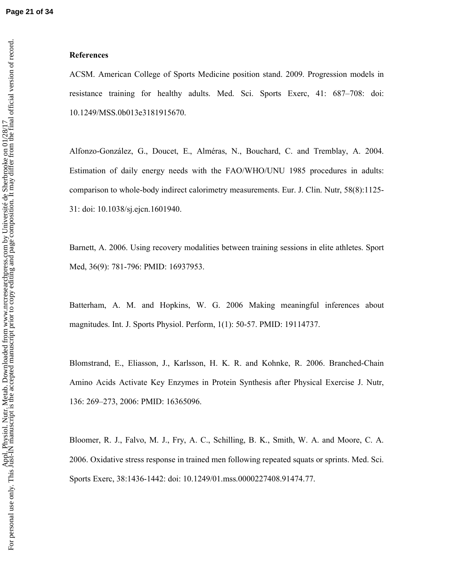### **References**

ACSM. American College of Sports Medicine position stand. 2009. Progression models in resistance training for healthy adults. Med. Sci. Sports Exerc, 41: 687–708: doi: 10.1249/MSS.0b013e3181915670.

Alfonzo-González, G., Doucet, E., Alméras, N., Bouchard, C. and Tremblay, A. 2004. Estimation of daily energy needs with the FAO/WHO/UNU 1985 procedures in adults: comparison to whole-body indirect calorimetry measurements. Eur. J. Clin. Nutr, 58(8):1125- 31: doi: 10.1038/sj.ejcn.1601940.

Barnett, A. 2006. Using recovery modalities between training sessions in elite athletes. Sport Med, 36(9): 781-796: PMID: 16937953.

Batterham, A. M. and Hopkins, W. G. 2006 Making meaningful inferences about magnitudes. Int. J. Sports Physiol. Perform, 1(1): 50-57. PMID: 19114737.

Blomstrand, E., Eliasson, J., Karlsson, H. K. R. and Kohnke, R. 2006. Branched-Chain Amino Acids Activate Key Enzymes in Protein Synthesis after Physical Exercise J. Nutr, 136: 269–273, 2006: PMID: 16365096.

Bloomer, R. J., Falvo, M. J., Fry, A. C., Schilling, B. K., Smith, W. A. and Moore, C. A. 2006. Oxidative stress response in trained men following repeated squats or sprints. Med. Sci. Sports Exerc, 38:1436-1442: doi: 10.1249/01.mss.0000227408.91474.77.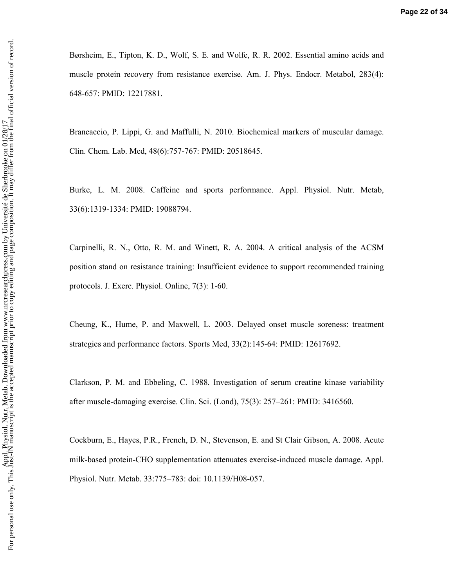Børsheim, E., Tipton, K. D., Wolf, S. E. and Wolfe, R. R. 2002. Essential amino acids and muscle protein recovery from resistance exercise. Am. J. Phys. Endocr. Metabol, 283(4): 648-657: PMID: 12217881.

Brancaccio, P. Lippi, G. and Maffulli, N. 2010. Biochemical markers of muscular damage. Clin. Chem. Lab. Med, 48(6):757-767: PMID: 20518645.

Burke, L. M. 2008. Caffeine and sports performance. Appl. Physiol. Nutr. Metab, 33(6):1319-1334: PMID: 19088794.

Carpinelli, R. N., Otto, R. M. and Winett, R. A. 2004. A critical analysis of the ACSM position stand on resistance training: Insufficient evidence to support recommended training protocols. J. Exerc. Physiol. Online, 7(3): 1-60.

Cheung, K., Hume, P. and Maxwell, L. 2003. Delayed onset muscle soreness: treatment strategies and performance factors. Sports Med, 33(2):145-64: PMID: 12617692.

Clarkson, P. M. and Ebbeling, C. 1988. Investigation of serum creatine kinase variability after muscle-damaging exercise. Clin. Sci. (Lond), 75(3): 257–261: PMID: 3416560.

Cockburn, E., Hayes, P.R., French, D. N., Stevenson, E. and St Clair Gibson, A. 2008. Acute milk-based protein-CHO supplementation attenuates exercise-induced muscle damage. Appl. Physiol. Nutr. Metab. 33:775–783: doi: 10.1139/H08-057.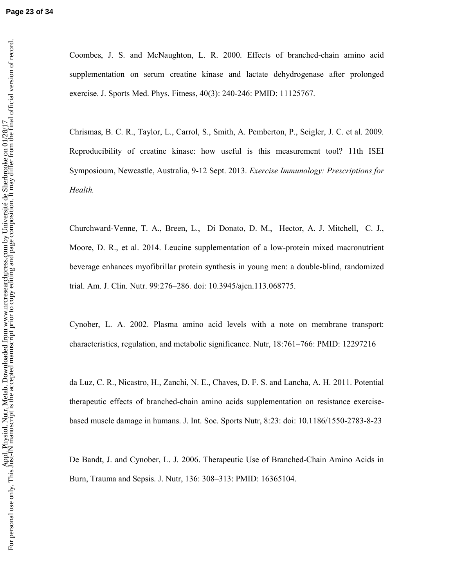Coombes, J. S. and McNaughton, L. R. 2000. Effects of branched-chain amino acid supplementation on serum creatine kinase and lactate dehydrogenase after prolonged exercise. J. Sports Med. Phys. Fitness, 40(3): 240-246: PMID: 11125767.

Chrismas, B. C. R., Taylor, L., Carrol, S., Smith, A. Pemberton, P., Seigler, J. C. et al. 2009. Reproducibility of creatine kinase: how useful is this measurement tool? 11th ISEI Symposioum, Newcastle, Australia, 9-12 Sept. 2013. *Exercise Immunology: Prescriptions for Health.* 

Churchward-Venne, T. A., Breen, L., Di Donato, D. M., Hector, A. J. Mitchell, C. J., Moore, D. R., et al. 2014. Leucine supplementation of a low-protein mixed macronutrient beverage enhances myofibrillar protein synthesis in young men: a double-blind, randomized trial. Am. J. Clin. Nutr. 99:276–286. doi: 10.3945/ajcn.113.068775.

Cynober, L. A. 2002. Plasma amino acid levels with a note on membrane transport: characteristics, regulation, and metabolic significance. Nutr, 18:761–766: PMID: 12297216

da Luz, C. R., Nicastro, H., Zanchi, N. E., Chaves, D. F. S. and Lancha, A. H. 2011. Potential therapeutic effects of branched-chain amino acids supplementation on resistance exercisebased muscle damage in humans. J. Int. Soc. Sports Nutr, 8:23: doi: 10.1186/1550-2783-8-23

De Bandt, J. and Cynober, L. J. 2006. Therapeutic Use of Branched-Chain Amino Acids in Burn, Trauma and Sepsis. J. Nutr, 136: 308–313: PMID: 16365104.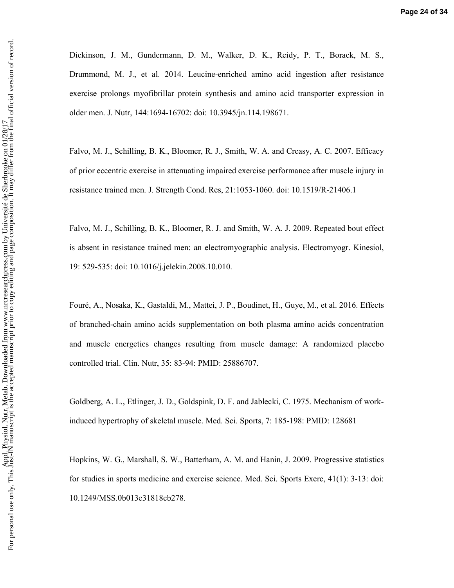Dickinson, J. M., Gundermann, D. M., Walker, D. K., Reidy, P. T., Borack, M. S., Drummond, M. J., et al. 2014. Leucine-enriched amino acid ingestion after resistance exercise prolongs myofibrillar protein synthesis and amino acid transporter expression in older men. J. Nutr, 144:1694-16702: doi: 10.3945/jn.114.198671.

Falvo, M. J., Schilling, B. K., Bloomer, R. J., Smith, W. A. and Creasy, A. C. 2007. Efficacy of prior eccentric exercise in attenuating impaired exercise performance after muscle injury in resistance trained men. J. Strength Cond. Res, 21:1053-1060. doi: 10.1519/R-21406.1

Falvo, M. J., Schilling, B. K., Bloomer, R. J. and Smith, W. A. J. 2009. Repeated bout effect is absent in resistance trained men: an electromyographic analysis. Electromyogr. Kinesiol, 19: 529-535: doi: 10.1016/j.jelekin.2008.10.010.

Fouré, A., Nosaka, K., Gastaldi, M., Mattei, J. P., Boudinet, H., Guye, M., et al. 2016. Effects of branched-chain amino acids supplementation on both plasma amino acids concentration and muscle energetics changes resulting from muscle damage: A randomized placebo controlled trial. Clin. Nutr, 35: 83-94: PMID: 25886707.

Goldberg, A. L., Etlinger, J. D., Goldspink, D. F. and Jablecki, C. 1975. Mechanism of workinduced hypertrophy of skeletal muscle. Med. Sci. Sports, 7: 185-198: PMID: 128681

Hopkins, W. G., Marshall, S. W., Batterham, A. M. and Hanin, J. 2009. Progressive statistics for studies in sports medicine and exercise science. Med. Sci. Sports Exerc, 41(1): 3-13: doi: 10.1249/MSS.0b013e31818cb278.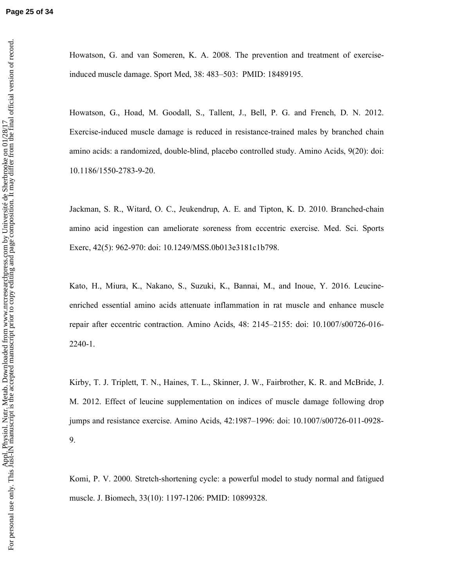Howatson, G. and van Someren, K. A. 2008. The prevention and treatment of exerciseinduced muscle damage. Sport Med, 38: 483–503: PMID: 18489195.

Howatson, G., Hoad, M. Goodall, S., Tallent, J., Bell, P. G. and French, D. N. 2012. Exercise-induced muscle damage is reduced in resistance-trained males by branched chain amino acids: a randomized, double-blind, placebo controlled study. Amino Acids, 9(20): doi: 10.1186/1550-2783-9-20.

Jackman, S. R., Witard, O. C., Jeukendrup, A. E. and Tipton, K. D. 2010. Branched-chain amino acid ingestion can ameliorate soreness from eccentric exercise. Med. Sci. Sports Exerc, 42(5): 962-970: doi: 10.1249/MSS.0b013e3181c1b798.

Kato, H., Miura, K., Nakano, S., Suzuki, K., Bannai, M., and Inoue, Y. 2016. Leucineenriched essential amino acids attenuate inflammation in rat muscle and enhance muscle repair after eccentric contraction. Amino Acids, 48: 2145–2155: doi: 10.1007/s00726-016- 2240-1.

Kirby, T. J. Triplett, T. N., Haines, T. L., Skinner, J. W., Fairbrother, K. R. and McBride, J. M. 2012. Effect of leucine supplementation on indices of muscle damage following drop jumps and resistance exercise. Amino Acids, 42:1987–1996: doi: 10.1007/s00726-011-0928- 9.

Komi, P. V. 2000. Stretch-shortening cycle: a powerful model to study normal and fatigued muscle. J. Biomech, 33(10): 1197-1206: PMID: 10899328.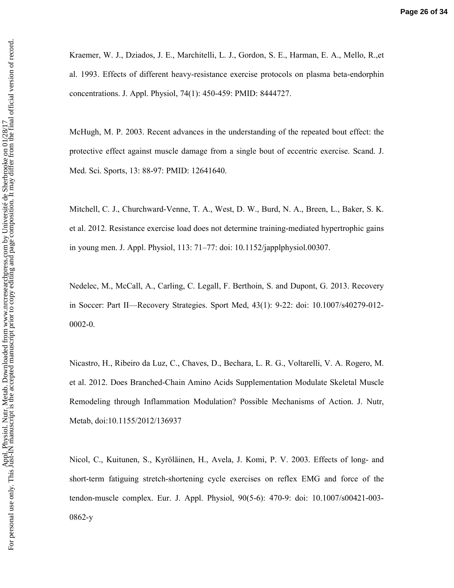Kraemer, W. J., Dziados, J. E., Marchitelli, L. J., Gordon, S. E., Harman, E. A., Mello, R.,et al. 1993. Effects of different heavy-resistance exercise protocols on plasma beta-endorphin concentrations. J. Appl. Physiol, 74(1): 450-459: PMID: 8444727.

McHugh, M. P. 2003. Recent advances in the understanding of the repeated bout effect: the protective effect against muscle damage from a single bout of eccentric exercise. Scand. J. Med. Sci. Sports, 13: 88-97: PMID: 12641640.

Mitchell, C. J., Churchward-Venne, T. A., West, D. W., Burd, N. A., Breen, L., Baker, S. K. et al. 2012. Resistance exercise load does not determine training-mediated hypertrophic gains in young men. J. Appl. Physiol, 113: 71–77: doi: 10.1152/japplphysiol.00307.

Nedelec, M., McCall, A., Carling, C. Legall, F. Berthoin, S. and Dupont, G. 2013. Recovery in Soccer: Part II—Recovery Strategies. Sport Med, 43(1): 9-22: doi: 10.1007/s40279-012- 0002-0.

Nicastro, H., Ribeiro da Luz, C., Chaves, D., Bechara, L. R. G., Voltarelli, V. A. Rogero, M. et al. 2012. Does Branched-Chain Amino Acids Supplementation Modulate Skeletal Muscle Remodeling through Inflammation Modulation? Possible Mechanisms of Action. J. Nutr, Metab, doi:10.1155/2012/136937

Nicol, C., Kuitunen, S., Kyröläinen, H., Avela, J. Komi, P. V. 2003. Effects of long- and short-term fatiguing stretch-shortening cycle exercises on reflex EMG and force of the tendon-muscle complex. Eur. J. Appl. Physiol, 90(5-6): 470-9: doi: 10.1007/s00421-003- 0862-y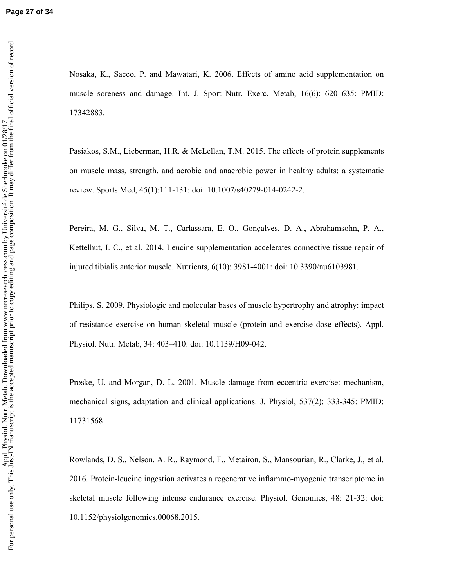Nosaka, K., Sacco, P. and Mawatari, K. 2006. Effects of amino acid supplementation on muscle soreness and damage. Int. J. Sport Nutr. Exerc. Metab, 16(6): 620–635: PMID: 17342883.

Pasiakos, S.M., Lieberman, H.R. & McLellan, T.M. 2015. The effects of protein supplements on muscle mass, strength, and aerobic and anaerobic power in healthy adults: a systematic review. Sports Med, 45(1):111-131: doi: 10.1007/s40279-014-0242-2.

Pereira, M. G., Silva, M. T., Carlassara, E. O., Gonçalves, D. A., Abrahamsohn, P. A., Kettelhut, I. C., et al. 2014. Leucine supplementation accelerates connective tissue repair of injured tibialis anterior muscle. Nutrients, 6(10): 3981-4001: doi: 10.3390/nu6103981.

Philips, S. 2009. Physiologic and molecular bases of muscle hypertrophy and atrophy: impact of resistance exercise on human skeletal muscle (protein and exercise dose effects). Appl. Physiol. Nutr. Metab, 34: 403–410: doi: 10.1139/H09-042.

Proske, U. and Morgan, D. L. 2001. Muscle damage from eccentric exercise: mechanism, mechanical signs, adaptation and clinical applications. J. Physiol, 537(2): 333-345: PMID: 11731568

Rowlands, D. S., Nelson, A. R., Raymond, F., Metairon, S., Mansourian, R., Clarke, J., et al. 2016. Protein-leucine ingestion activates a regenerative inflammo-myogenic transcriptome in skeletal muscle following intense endurance exercise. Physiol. Genomics, 48: 21-32: doi: 10.1152/physiolgenomics.00068.2015.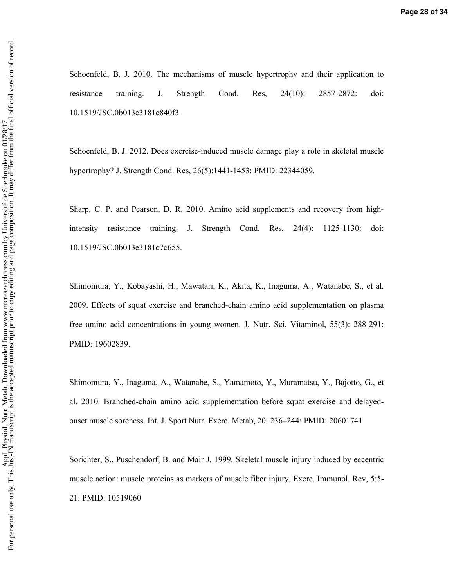Schoenfeld, B. J. 2010. The mechanisms of muscle hypertrophy and their application to resistance training. J. Strength Cond. Res, 24(10): 2857-2872: doi: 10.1519/JSC.0b013e3181e840f3.

Schoenfeld, B. J. 2012. Does exercise-induced muscle damage play a role in skeletal muscle hypertrophy? J. Strength Cond. Res, 26(5):1441-1453: PMID: 22344059.

Sharp, C. P. and Pearson, D. R. 2010. Amino acid supplements and recovery from highintensity resistance training. J. Strength Cond. Res, 24(4): 1125-1130: doi: 10.1519/JSC.0b013e3181c7c655.

Shimomura, Y., Kobayashi, H., Mawatari, K., Akita, K., Inaguma, A., Watanabe, S., et al. 2009. Effects of squat exercise and branched-chain amino acid supplementation on plasma free amino acid concentrations in young women. J. Nutr. Sci. Vitaminol, 55(3): 288-291: PMID: 19602839.

Shimomura, Y., Inaguma, A., Watanabe, S., Yamamoto, Y., Muramatsu, Y., Bajotto, G., et al. 2010. Branched-chain amino acid supplementation before squat exercise and delayedonset muscle soreness. Int. J. Sport Nutr. Exerc. Metab, 20: 236–244: PMID: 20601741

Sorichter, S., Puschendorf, B. and Mair J. 1999. Skeletal muscle injury induced by eccentric muscle action: muscle proteins as markers of muscle fiber injury. Exerc. Immunol. Rev, 5:5- 21: PMID: 10519060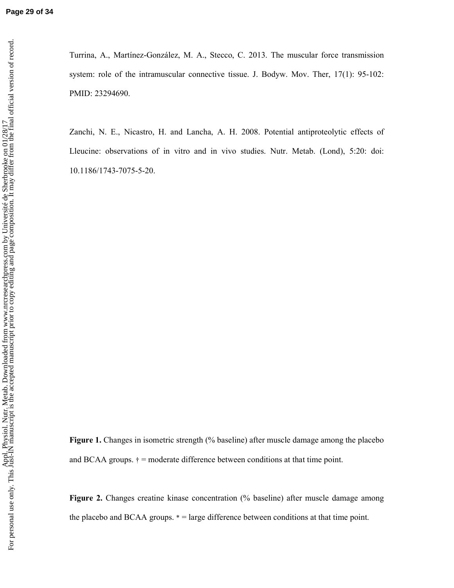Turrina, A., Martínez-González, M. A., Stecco, C. 2013. The muscular force transmission system: role of the intramuscular connective tissue. J. Bodyw. Mov. Ther, 17(1): 95-102: PMID: 23294690.

Zanchi, N. E., Nicastro, H. and Lancha, A. H. 2008. Potential antiproteolytic effects of Lleucine: observations of in vitro and in vivo studies. Nutr. Metab. (Lond), 5:20: doi: 10.1186/1743-7075-5-20.

**Figure 1.** Changes in isometric strength (% baseline) after muscle damage among the placebo and BCAA groups.  $\dagger$  = moderate difference between conditions at that time point.

**Figure 2.** Changes creatine kinase concentration (% baseline) after muscle damage among the placebo and BCAA groups. \* = large difference between conditions at that time point.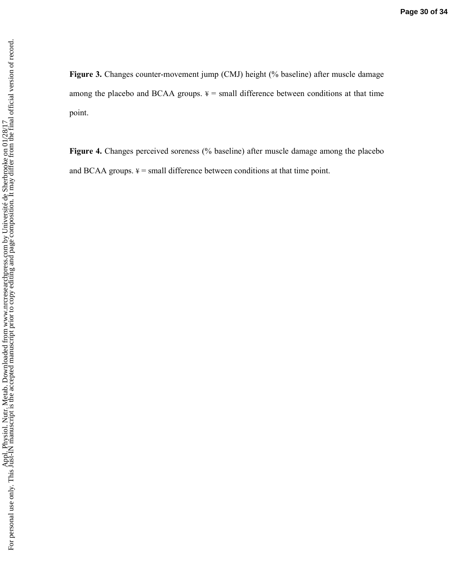**Figure 3.** Changes counter-movement jump (CMJ) height (% baseline) after muscle damage among the placebo and BCAA groups.  $\frac{1}{4}$  = small difference between conditions at that time point.

**Figure 4.** Changes perceived soreness (% baseline) after muscle damage among the placebo and BCAA groups.  $4 = \text{small difference}$  between conditions at that time point.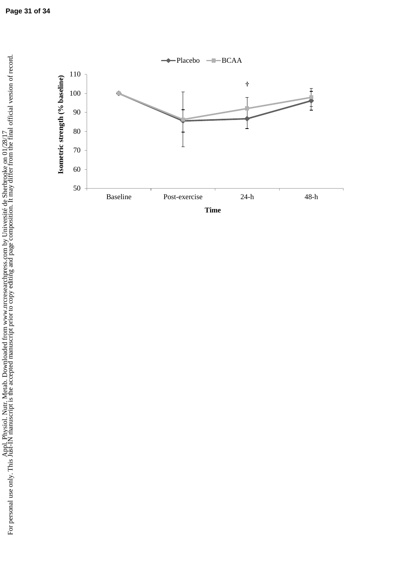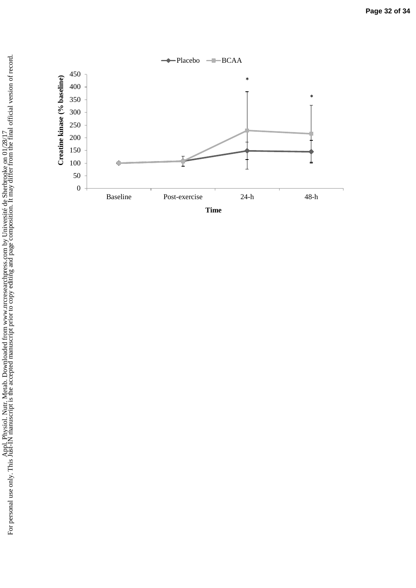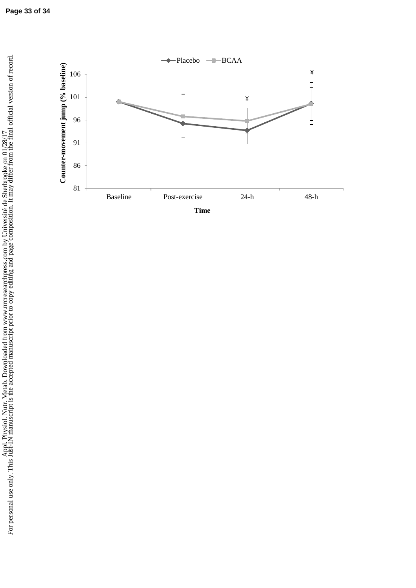